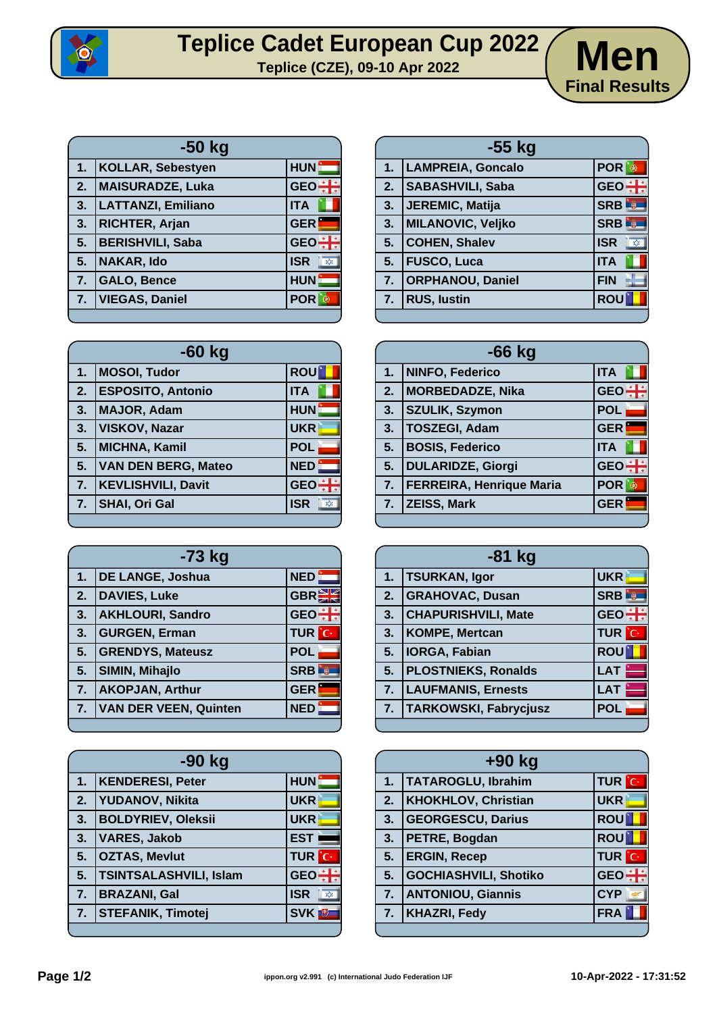

## **Teplice Cadet European Cup 2022** Men



| $-50$ kg |                           |                                      |
|----------|---------------------------|--------------------------------------|
| 1.       | <b>KOLLAR, Sebestyen</b>  | <b>HUN</b>                           |
| 2.       | <b>MAISURADZE, Luka</b>   | GEO :                                |
| 3.       | <b>LATTANZI, Emiliano</b> | <b>ITA</b>                           |
| 3.       | <b>RICHTER, Arjan</b>     | <b>GER</b>                           |
| 5.       | <b>BERISHVILI, Saba</b>   | GEO <del>: H</del>                   |
| 5.       | <b>NAKAR, Ido</b>         | <b>ISR</b><br>$\chi^{\prime}_{\chi}$ |
| 7.       | <b>GALO, Bence</b>        | <b>HUN</b>                           |
| 7.       | <b>VIEGAS, Daniel</b>     | <b>POR</b>                           |

| -60 kg         |                            |            |
|----------------|----------------------------|------------|
| 1.             | <b>MOSOI, Tudor</b>        | <b>ROU</b> |
| 2.             | <b>ESPOSITO, Antonio</b>   | <b>ITA</b> |
| 3.             | <b>MAJOR, Adam</b>         | <b>HUN</b> |
| 3.             | <b>VISKOV, Nazar</b>       | <b>UKR</b> |
| 5.             | <b>MICHNA, Kamil</b>       | <b>POL</b> |
| 5.             | <b>VAN DEN BERG, Mateo</b> | <b>NED</b> |
| 7 <sub>1</sub> | <b>KEVLISHVILI, Davit</b>  | <b>GEO</b> |
| 7.             | <b>SHAI, Ori Gal</b>       | <b>ISR</b> |
|                |                            |            |

| -73 kg |                              |                          |
|--------|------------------------------|--------------------------|
| 1.     | <b>DE LANGE, Joshua</b>      | <b>NED</b>               |
| 2.     | <b>DAVIES, Luke</b>          | GBR <sup>S</sup>         |
| 3.     | <b>AKHLOURI, Sandro</b>      | GEO <del>: I</del>       |
| 3.     | <b>GURGEN, Erman</b>         | <b>TUR</b> C             |
| 5.     | <b>GRENDYS, Mateusz</b>      | <b>POL</b>               |
| 5.     | <b>SIMIN, Mihajlo</b>        | <b>SRB</b><br><u>i w</u> |
| 7.     | <b>AKOPJAN, Arthur</b>       | <b>GER</b>               |
| 7.     | <b>VAN DER VEEN, Quinten</b> | <b>NED</b>               |
|        |                              |                          |

| -90 kg         |                               |                                         |
|----------------|-------------------------------|-----------------------------------------|
| 1.             | <b>KENDERESI, Peter</b>       | <b>HUN</b>                              |
| 2.             | <b>YUDANOV, Nikita</b>        | <b>UKR</b>                              |
| 3.             | <b>BOLDYRIEV, Oleksii</b>     | <b>UKR</b>                              |
| 3.             | <b>VARES, Jakob</b>           | <b>EST</b>                              |
| 5.             | <b>OZTAS, Mevlut</b>          | <b>TUR</b> C                            |
| 5.             | <b>TSINTSALASHVILI, Islam</b> | <b>GEO</b>                              |
| 7.             | <b>BRAZANI, Gal</b>           | <b>ISR</b><br>$\mathbb{X}^{\mathbf{y}}$ |
| 7 <sub>2</sub> | <b>STEFANIK, Timotej</b>      | <b>SVK</b> <sup>U</sup>                 |
|                |                               |                                         |

| $-55$ kg                 |                                                                                                                                            |  |
|--------------------------|--------------------------------------------------------------------------------------------------------------------------------------------|--|
|                          | <b>POR</b>                                                                                                                                 |  |
| <b>SABASHVILI, Saba</b>  | GEO <sup>+</sup>                                                                                                                           |  |
|                          | <b>SRB</b>                                                                                                                                 |  |
| <b>MILANOVIC, Veljko</b> | <b>SRB</b><br><b>Digita</b>                                                                                                                |  |
|                          | <b>ISR</b><br>$\overline{\mathbf{x}}$                                                                                                      |  |
|                          | <b>ITA</b>                                                                                                                                 |  |
|                          | <b>FIN</b>                                                                                                                                 |  |
|                          | <b>ROU</b>                                                                                                                                 |  |
|                          | <b>LAMPREIA, Goncalo</b><br>JEREMIC, Matija<br><b>COHEN, Shalev</b><br><b>FUSCO, Luca</b><br><b>ORPHANOU, Daniel</b><br><b>RUS, lustin</b> |  |

| $-66$ kg |                                 |            |
|----------|---------------------------------|------------|
| 1.       | NINFO, Federico                 | <b>ITA</b> |
| 2.       | MORBEDADZE, Nika                | GEO-       |
| 3.       | <b>SZULIK, Szymon</b>           | <b>POL</b> |
| 3.       | <b>TOSZEGI, Adam</b>            | <b>GER</b> |
| 5.       | <b>BOSIS, Federico</b>          | <b>ITA</b> |
| 5.       | <b>DULARIDZE, Giorgi</b>        | <b>GEO</b> |
| 7.       | <b>FERREIRA, Henrique Maria</b> | <b>POR</b> |
| 7.       | <b>ZEISS, Mark</b>              | <b>GER</b> |
|          |                                 |            |

| $-81$ kg |                              |                  |
|----------|------------------------------|------------------|
| 1.       | <b>TSURKAN, Igor</b>         | <b>UKR</b>       |
| 2.       | <b>GRAHOVAC, Dusan</b>       | <b>SRB</b>       |
| 3.       | <b>CHAPURISHVILI, Mate</b>   | GEO <sup>+</sup> |
| 3.       | <b>KOMPE, Mertcan</b>        | <b>TUR</b> C     |
| 5.       | <b>IORGA, Fabian</b>         | <b>ROU</b>       |
| 5.       | <b>PLOSTNIEKS, Ronalds</b>   | <b>LAT</b>       |
| 7.       | <b>LAUFMANIS, Ernests</b>    | <b>LAT</b>       |
| 7.       | <b>TARKOWSKI, Fabrycjusz</b> | <b>POL</b>       |
|          |                              |                  |

| +90 kg |                              |              |
|--------|------------------------------|--------------|
| 1.7    | TATAROGLU, Ibrahim           | <b>TUR C</b> |
| 2.     | <b>KHOKHLOV, Christian</b>   | <b>UKR</b>   |
| 3.     | <b>GEORGESCU, Darius</b>     | <b>ROU</b>   |
| 3.     | PETRE, Bogdan                | <b>ROU</b>   |
| 5.     | <b>ERGIN, Recep</b>          | <b>TUR</b> C |
| 5.     | <b>GOCHIASHVILI, Shotiko</b> | GEO-         |
| 7.     | <b>ANTONIOU, Giannis</b>     | <b>CYP</b>   |
| 7.     | <b>KHAZRI, Fedy</b>          | <b>FRA</b>   |
|        |                              |              |